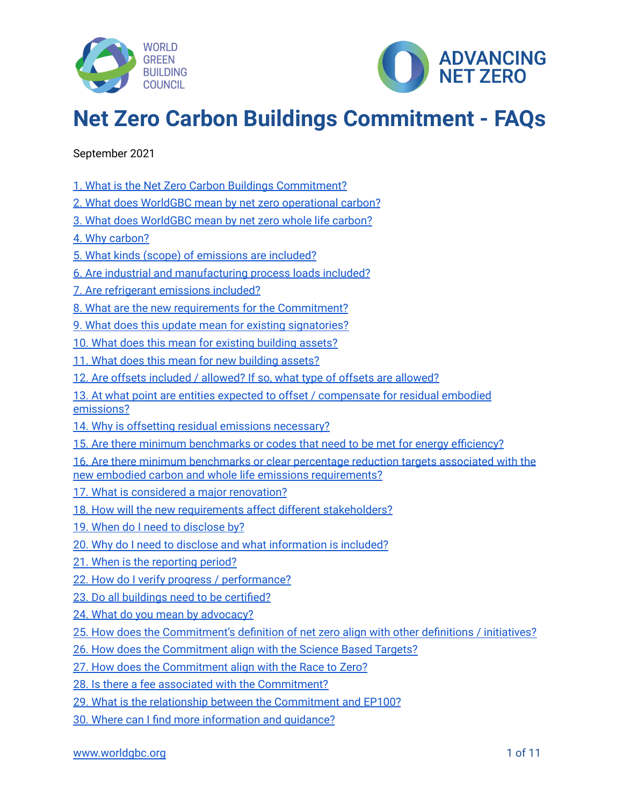



# **Net Zero Carbon Buildings Commitment - FAQs**

September 2021

- 1. What is the Net Zero Carbon Buildings [Commitment?](#page-1-0)
- 2. What does WorldGBC mean by net zero [operational](#page-1-1) carbon?
- 3. What does [WorldGBC](#page-1-2) mean by net zero whole life carbon?
- 4. Why [carbon?](#page-1-3)
- 5. What kinds (scope) of [emissions](#page-2-0) are included?
- 6. Are industrial and [manufacturing](#page-2-1) process loads included?
- 7. Are [refrigerant](#page-2-2) emissions included?
- 8. What are the new requirements for the [Commitment?](#page-2-3)
- 9. What does this update mean for existing [signatories?](#page-3-0)
- 10. What does this mean for existing [building](#page-3-1) assets?
- 11. What does this mean for new [building](#page-4-0) assets?
- 12. Are offsets included / [allowed?](#page-4-1) If so, what type of offsets are allowed?
- 13. At what point are entities expected to offset / [compensate](#page-4-2) for residual embodied [emissions?](#page-4-2)
- 14. Why is offsetting residual emissions [necessary?](#page-5-0)
- 15. Are there minimum [benchmarks](#page-5-1) or codes that need to be met for energy efficiency?
- 16. Are there minimum [benchmarks](#page-5-2) or clear percentage reduction targets associated with the new embodied carbon and whole life emissions [requirements?](#page-5-2)
- 17. What is considered a major [renovation?](#page-6-0)
- 18. How will the new requirements affect different [stakeholders?](#page-6-1)
- 19. When do I need to [disclose](#page-6-2) by?
- 20. Why do I need to disclose and what [information](#page-6-3) is included?
- 21. When is the [reporting](#page-7-0) period?
- 22. How do I verify progress / [performance?](#page-7-1)
- 23. Do all buildings need to be [certified?](#page-7-2)
- 24. What do you mean by [advocacy?](#page-8-0)
- 25. How does the [Commitment's](#page-8-1) definition of net zero align with other definitions / initiatives?
- 26. How does the [Commitment](#page-9-0) align with the Science Based Targets?
- 27. How does the [Commitment](#page-9-1) align with the Race to Zero?
- 28. Is there a fee associated with the [Commitment?](#page-10-0)
- 29. What is the relationship between the [Commitment](#page-10-1) and EP100?
- 30. Where can I find more [information](#page-10-2) and guidance?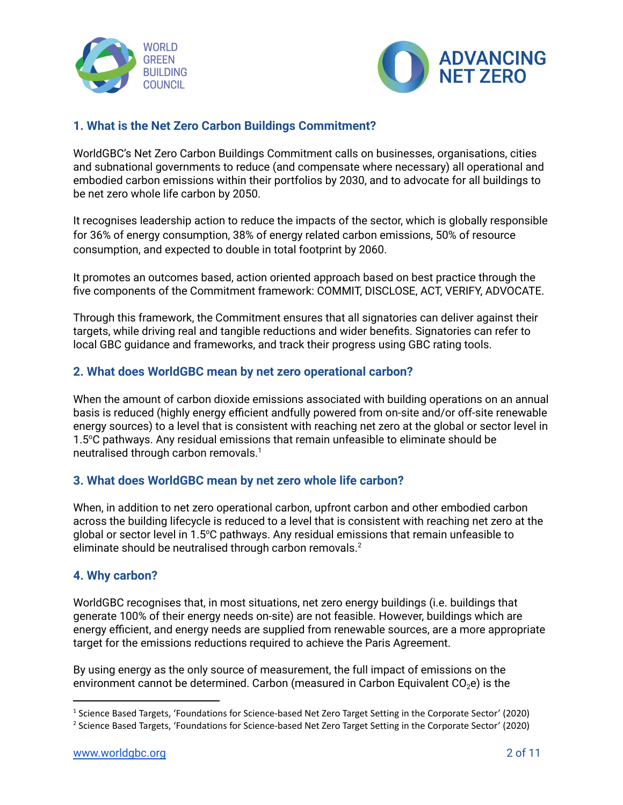



## <span id="page-1-0"></span>**1. What is the Net Zero Carbon Buildings Commitment?**

WorldGBC's Net Zero Carbon Buildings Commitment calls on businesses, organisations, cities and subnational governments to reduce (and compensate where necessary) all operational and embodied carbon emissions within their portfolios by 2030, and to advocate for all buildings to be net zero whole life carbon by 2050.

It recognises leadership action to reduce the impacts of the sector, which is globally responsible for 36% of energy consumption, 38% of energy related carbon emissions, 50% of resource consumption, and expected to double in total footprint by 2060.

It promotes an outcomes based, action oriented approach based on best practice through the five components of the Commitment framework: COMMIT, DISCLOSE, ACT, VERIFY, ADVOCATE.

Through this framework, the Commitment ensures that all signatories can deliver against their targets, while driving real and tangible reductions and wider benefits. Signatories can refer to local GBC guidance and frameworks, and track their progress using GBC rating tools.

#### <span id="page-1-1"></span>**2. What does WorldGBC mean by net zero operational carbon?**

When the amount of carbon dioxide emissions associated with building operations on an annual basis is reduced (highly energy efficient andfully powered from on-site and/or off-site renewable energy sources) to a level that is consistent with reaching net zero at the global or sector level in 1.5°C pathways. Any residual emissions that remain unfeasible to eliminate should be neutralised through carbon removals. 1

#### <span id="page-1-2"></span>**3. What does WorldGBC mean by net zero whole life carbon?**

When, in addition to net zero operational carbon, upfront carbon and other embodied carbon across the building lifecycle is reduced to a level that is consistent with reaching net zero at the global or sector level in 1.5°C pathways. Any residual emissions that remain unfeasible to eliminate should be neutralised through carbon removals. 2

#### <span id="page-1-3"></span>**4. Why carbon?**

WorldGBC recognises that, in most situations, net zero energy buildings (i.e. buildings that generate 100% of their energy needs on-site) are not feasible. However, buildings which are energy efficient, and energy needs are supplied from renewable sources, are a more appropriate target for the emissions reductions required to achieve the Paris Agreement.

By using energy as the only source of measurement, the full impact of emissions on the environment cannot be determined. Carbon (measured in Carbon Equivalent  $CO<sub>2</sub>e$ ) is the

<sup>&</sup>lt;sup>1</sup> Science Based Targets, 'Foundations for Science-based Net Zero Target Setting in the Corporate Sector' (2020)

<sup>2</sup> Science Based Targets, 'Foundations for Science-based Net Zero Target Setting in the Corporate Sector' (2020)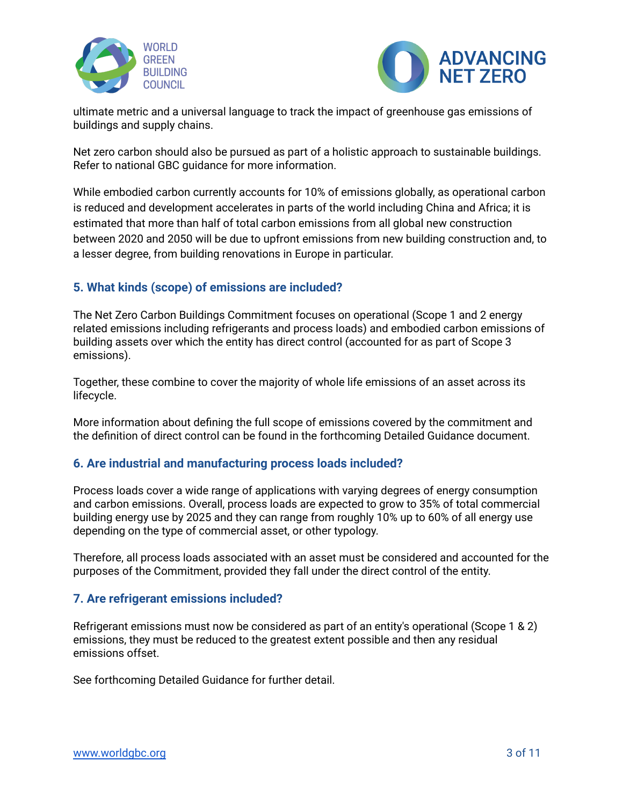



ultimate metric and a universal language to track the impact of greenhouse gas emissions of buildings and supply chains.

Net zero carbon should also be pursued as part of a holistic approach to sustainable buildings. Refer to national GBC guidance for more information.

While embodied carbon currently accounts for 10% of emissions globally, as operational carbon is reduced and development accelerates in parts of the world including China and Africa; it is estimated that more than half of total carbon emissions from all global new construction between 2020 and 2050 will be due to upfront emissions from new building construction and, to a lesser degree, from building renovations in Europe in particular.

# <span id="page-2-0"></span>**5. What kinds (scope) of emissions are included?**

The Net Zero Carbon Buildings Commitment focuses on operational (Scope 1 and 2 energy related emissions including refrigerants and process loads) and embodied carbon emissions of building assets over which the entity has direct control (accounted for as part of Scope 3 emissions).

Together, these combine to cover the majority of whole life emissions of an asset across its lifecycle.

More information about defining the full scope of emissions covered by the commitment and the definition of direct control can be found in the forthcoming Detailed Guidance document.

## <span id="page-2-1"></span>**6. Are industrial and manufacturing process loads included?**

Process loads cover a wide range of applications with varying degrees of energy consumption and carbon emissions. Overall, process loads are expected to grow to 35% of total commercial building energy use by 2025 and they can range from roughly 10% up to 60% of all energy use depending on the type of commercial asset, or other typology.

Therefore, all process loads associated with an asset must be considered and accounted for the purposes of the Commitment, provided they fall under the direct control of the entity.

## <span id="page-2-2"></span>**7. Are refrigerant emissions included?**

Refrigerant emissions must now be considered as part of an entity's operational (Scope 1 & 2) emissions, they must be reduced to the greatest extent possible and then any residual emissions offset.

<span id="page-2-3"></span>See forthcoming Detailed Guidance for further detail.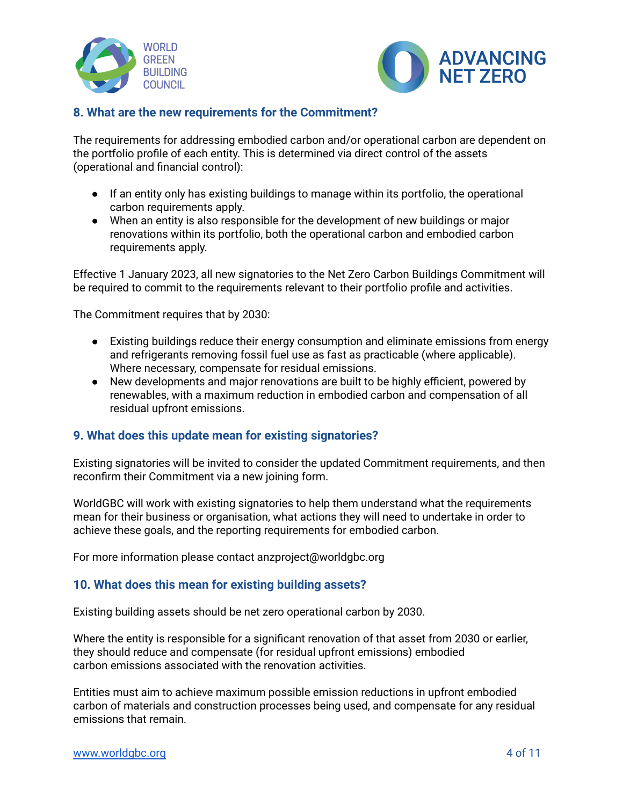



## **8. What are the new requirements for the Commitment?**

The requirements for addressing embodied carbon and/or operational carbon are dependent on the portfolio profile of each entity. This is determined via direct control of the assets (operational and financial control):

- If an entity only has existing buildings to manage within its portfolio, the operational carbon requirements apply.
- When an entity is also responsible for the development of new buildings or major renovations within its portfolio, both the operational carbon and embodied carbon requirements apply.

Effective 1 January 2023, all new signatories to the Net Zero Carbon Buildings Commitment will be required to commit to the requirements relevant to their portfolio profile and activities.

The Commitment requires that by 2030:

- Existing buildings reduce their energy consumption and eliminate emissions from energy and refrigerants removing fossil fuel use as fast as practicable (where applicable). Where necessary, compensate for residual emissions.
- New developments and major renovations are built to be highly efficient, powered by renewables, with a maximum reduction in embodied carbon and compensation of all residual upfront emissions.

#### <span id="page-3-0"></span>**9. What does this update mean for existing signatories?**

Existing signatories will be invited to consider the updated Commitment requirements, and then reconfirm their Commitment via a new joining form.

WorldGBC will work with existing signatories to help them understand what the requirements mean for their business or organisation, what actions they will need to undertake in order to achieve these goals, and the reporting requirements for embodied carbon.

For more information please contact anzproject@worldgbc.org

#### <span id="page-3-1"></span>**10. What does this mean for existing building assets?**

Existing building assets should be net zero operational carbon by 2030.

Where the entity is responsible for a significant renovation of that asset from 2030 or earlier, they should reduce and compensate (for residual upfront emissions) embodied carbon emissions associated with the renovation activities.

Entities must aim to achieve maximum possible emission reductions in upfront embodied carbon of materials and construction processes being used, and compensate for any residual emissions that remain.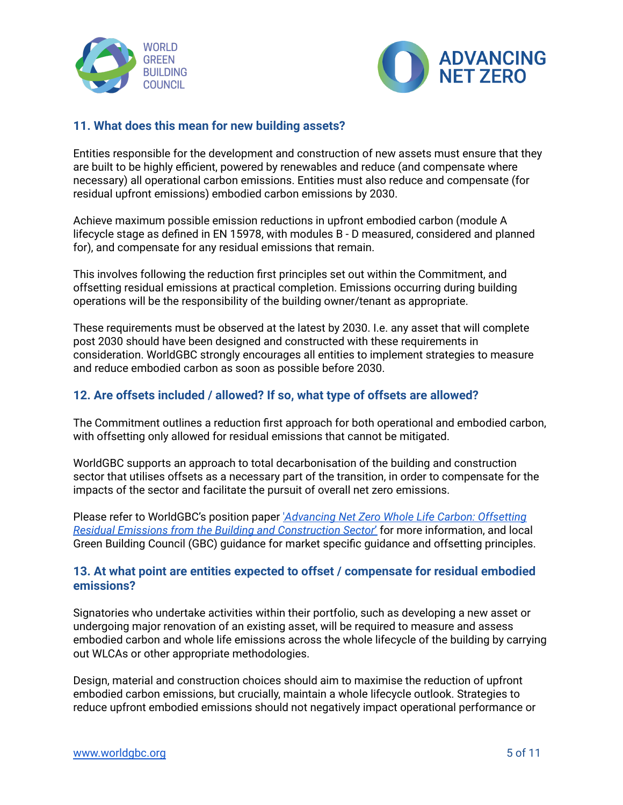



## <span id="page-4-0"></span>**11. What does this mean for new building assets?**

Entities responsible for the development and construction of new assets must ensure that they are built to be highly efficient, powered by renewables and reduce (and compensate where necessary) all operational carbon emissions. Entities must also reduce and compensate (for residual upfront emissions) embodied carbon emissions by 2030.

Achieve maximum possible emission reductions in upfront embodied carbon (module A lifecycle stage as defined in EN 15978, with modules B - D measured, considered and planned for), and compensate for any residual emissions that remain.

This involves following the reduction first principles set out within the Commitment, and offsetting residual emissions at practical completion. Emissions occurring during building operations will be the responsibility of the building owner/tenant as appropriate.

These requirements must be observed at the latest by 2030. I.e. any asset that will complete post 2030 should have been designed and constructed with these requirements in consideration. WorldGBC strongly encourages all entities to implement strategies to measure and reduce embodied carbon as soon as possible before 2030.

## <span id="page-4-1"></span>**12. Are offsets included / allowed? If so, what type of offsets are allowed?**

The Commitment outlines a reduction first approach for both operational and embodied carbon, with offsetting only allowed for residual emissions that cannot be mitigated.

WorldGBC supports an approach to total decarbonisation of the building and construction sector that utilises offsets as a necessary part of the transition, in order to compensate for the impacts of the sector and facilitate the pursuit of overall net zero emissions.

Please refer to WorldGBC's position paper '*[Advancing](https://www.worldgbc.org/advancing-net-zero-whole-life-carbon) Net Zero Whole Life Carbon: Offsetting Residual Emissions from the Building and [Construction](https://www.worldgbc.org/advancing-net-zero-whole-life-carbon) Sector*' for more information, and local Green Building Council (GBC) guidance for market specific guidance and offsetting principles.

## <span id="page-4-2"></span>**13. At what point are entities expected to offset / compensate for residual embodied emissions?**

Signatories who undertake activities within their portfolio, such as developing a new asset or undergoing major renovation of an existing asset, will be required to measure and assess embodied carbon and whole life emissions across the whole lifecycle of the building by carrying out WLCAs or other appropriate methodologies.

Design, material and construction choices should aim to maximise the reduction of upfront embodied carbon emissions, but crucially, maintain a whole lifecycle outlook. Strategies to reduce upfront embodied emissions should not negatively impact operational performance or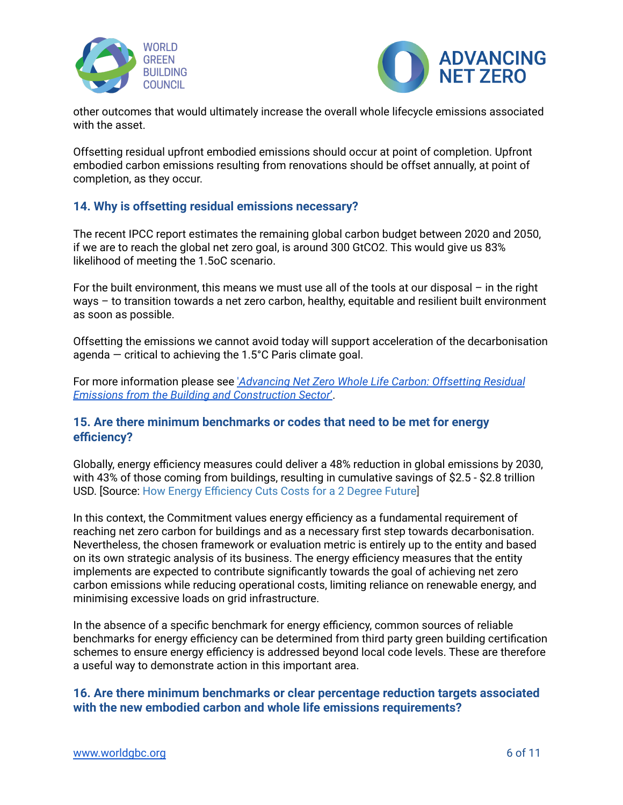



other outcomes that would ultimately increase the overall whole lifecycle emissions associated with the asset.

Offsetting residual upfront embodied emissions should occur at point of completion. Upfront embodied carbon emissions resulting from renovations should be offset annually, at point of completion, as they occur.

## <span id="page-5-0"></span>**14. Why is offsetting residual emissions necessary?**

The recent IPCC report estimates the remaining global carbon budget between 2020 and 2050, if we are to reach the global net zero goal, is around 300 GtCO2. This would give us 83% likelihood of meeting the 1.5oC scenario.

For the built environment, this means we must use all of the tools at our disposal – in the right ways – to transition towards a net zero carbon, healthy, equitable and resilient built environment as soon as possible.

Offsetting the emissions we cannot avoid today will support acceleration of the decarbonisation agenda  $-$  critical to achieving the 1.5°C Paris climate goal.

For more information please see '*[Advancing](https://www.worldgbc.org/advancing-net-zero-whole-life-carbon) Net Zero Whole Life Carbon: Offsetting Residual Emissions from the Building and [Construction](https://www.worldgbc.org/advancing-net-zero-whole-life-carbon) Sector*'.

## <span id="page-5-1"></span>**15. Are there minimum benchmarks or codes that need to be met for energy efficiency?**

Globally, energy efficiency measures could deliver a 48% reduction in global emissions by 2030, with 43% of those coming from buildings, resulting in cumulative savings of \$2.5 - \$2.8 trillion USD. [Source: How Energy [Efficiency](https://www.climateworks.org/wp-content/uploads/2015/11/Report_How-Energy-Efficiency-Cuts-Costs-for-a-2-Degree-Future.pdf) Cuts Costs for a 2 Degree Future]

In this context, the Commitment values energy efficiency as a fundamental requirement of reaching net zero carbon for buildings and as a necessary first step towards decarbonisation. Nevertheless, the chosen framework or evaluation metric is entirely up to the entity and based on its own strategic analysis of its business. The energy efficiency measures that the entity implements are expected to contribute significantly towards the goal of achieving net zero carbon emissions while reducing operational costs, limiting reliance on renewable energy, and minimising excessive loads on grid infrastructure.

In the absence of a specific benchmark for energy efficiency, common sources of reliable benchmarks for energy efficiency can be determined from third party green building certification schemes to ensure energy efficiency is addressed beyond local code levels. These are therefore a useful way to demonstrate action in this important area.

## <span id="page-5-2"></span>**16. Are there minimum benchmarks or clear percentage reduction targets associated with the new embodied carbon and whole life emissions requirements?**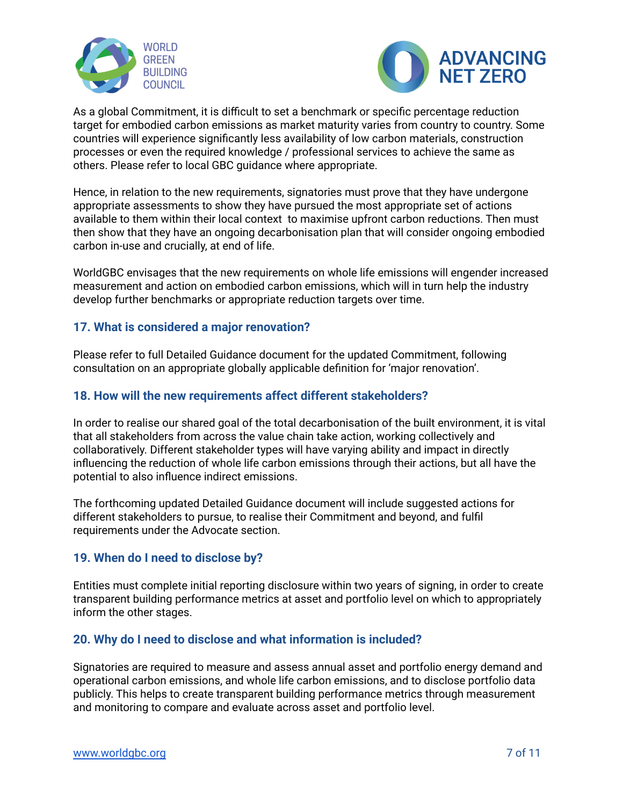



As a global Commitment, it is difficult to set a benchmark or specific percentage reduction target for embodied carbon emissions as market maturity varies from country to country. Some countries will experience significantly less availability of low carbon materials, construction processes or even the required knowledge / professional services to achieve the same as others. Please refer to local GBC guidance where appropriate.

Hence, in relation to the new requirements, signatories must prove that they have undergone appropriate assessments to show they have pursued the most appropriate set of actions available to them within their local context to maximise upfront carbon reductions. Then must then show that they have an ongoing decarbonisation plan that will consider ongoing embodied carbon in-use and crucially, at end of life.

WorldGBC envisages that the new requirements on whole life emissions will engender increased measurement and action on embodied carbon emissions, which will in turn help the industry develop further benchmarks or appropriate reduction targets over time.

## <span id="page-6-0"></span>**17. What is considered a major renovation?**

Please refer to full Detailed Guidance document for the updated Commitment, following consultation on an appropriate globally applicable definition for 'major renovation'.

#### <span id="page-6-1"></span>**18. How will the new requirements affect different stakeholders?**

In order to realise our shared goal of the total decarbonisation of the built environment, it is vital that all stakeholders from across the value chain take action, working collectively and collaboratively. Different stakeholder types will have varying ability and impact in directly influencing the reduction of whole life carbon emissions through their actions, but all have the potential to also influence indirect emissions.

The forthcoming updated Detailed Guidance document will include suggested actions for different stakeholders to pursue, to realise their Commitment and beyond, and fulfil requirements under the Advocate section.

#### <span id="page-6-2"></span>**19. When do I need to disclose by?**

Entities must complete initial reporting disclosure within two years of signing, in order to create transparent building performance metrics at asset and portfolio level on which to appropriately inform the other stages.

#### <span id="page-6-3"></span>**20. Why do I need to disclose and what information is included?**

Signatories are required to measure and assess annual asset and portfolio energy demand and operational carbon emissions, and whole life carbon emissions, and to disclose portfolio data publicly. This helps to create transparent building performance metrics through measurement and monitoring to compare and evaluate across asset and portfolio level.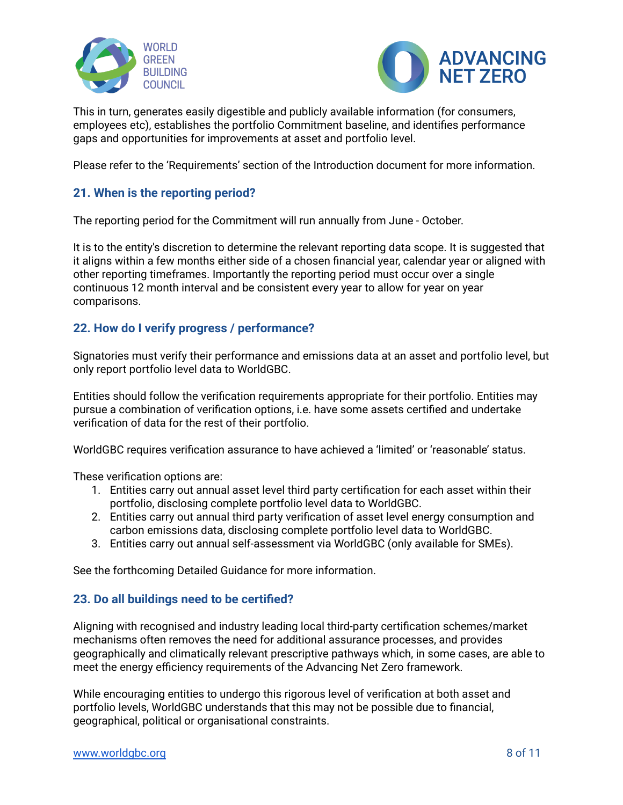



This in turn, generates easily digestible and publicly available information (for consumers, employees etc), establishes the portfolio Commitment baseline, and identifies performance gaps and opportunities for improvements at asset and portfolio level.

Please refer to the 'Requirements' section of the Introduction document for more information.

## <span id="page-7-0"></span>**21. When is the reporting period?**

The reporting period for the Commitment will run annually from June - October.

It is to the entity's discretion to determine the relevant reporting data scope. It is suggested that it aligns within a few months either side of a chosen financial year, calendar year or aligned with other reporting timeframes. Importantly the reporting period must occur over a single continuous 12 month interval and be consistent every year to allow for year on year comparisons.

#### <span id="page-7-1"></span>**22. How do I verify progress / performance?**

Signatories must verify their performance and emissions data at an asset and portfolio level, but only report portfolio level data to WorldGBC.

Entities should follow the verification requirements appropriate for their portfolio. Entities may pursue a combination of verification options, i.e. have some assets certified and undertake verification of data for the rest of their portfolio.

WorldGBC requires verification assurance to have achieved a 'limited' or 'reasonable' status.

These verification options are:

- 1. Entities carry out annual asset level third party certification for each asset within their portfolio, disclosing complete portfolio level data to WorldGBC.
- 2. Entities carry out annual third party verification of asset level energy consumption and carbon emissions data, disclosing complete portfolio level data to WorldGBC.
- 3. Entities carry out annual self-assessment via WorldGBC (only available for SMEs).

See the forthcoming Detailed Guidance for more information.

#### <span id="page-7-2"></span>**23. Do all buildings need to be certified?**

Aligning with recognised and industry leading local third-party certification schemes/market mechanisms often removes the need for additional assurance processes, and provides geographically and climatically relevant prescriptive pathways which, in some cases, are able to meet the energy efficiency requirements of the Advancing Net Zero framework.

While encouraging entities to undergo this rigorous level of verification at both asset and portfolio levels, WorldGBC understands that this may not be possible due to financial, geographical, political or organisational constraints.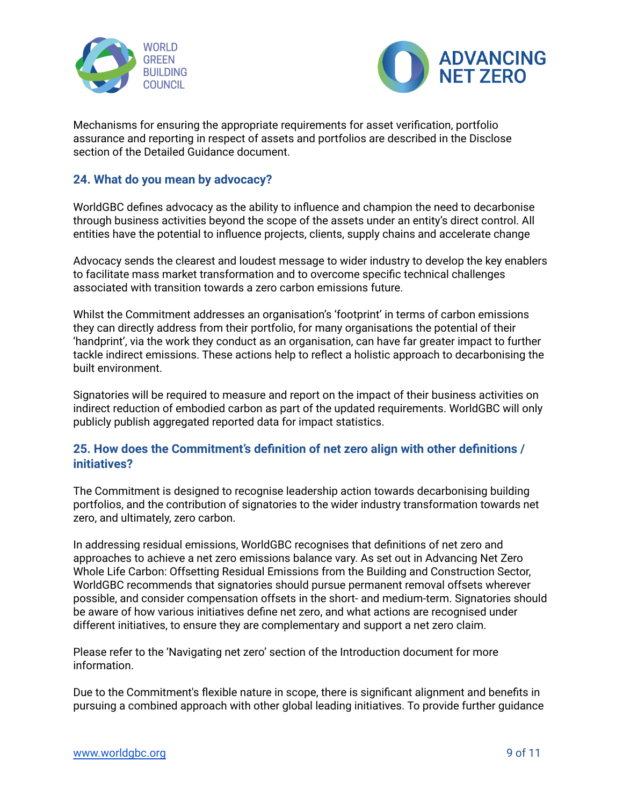



Mechanisms for ensuring the appropriate requirements for asset verification, portfolio assurance and reporting in respect of assets and portfolios are described in the Disclose section of the Detailed Guidance document.

## <span id="page-8-0"></span>**24. What do you mean by advocacy?**

WorldGBC defines advocacy as the ability to influence and champion the need to decarbonise through business activities beyond the scope of the assets under an entity's direct control. All entities have the potential to influence projects, clients, supply chains and accelerate change

Advocacy sends the clearest and loudest message to wider industry to develop the key enablers to facilitate mass market transformation and to overcome specific technical challenges associated with transition towards a zero carbon emissions future.

Whilst the Commitment addresses an organisation's 'footprint' in terms of carbon emissions they can directly address from their portfolio, for many organisations the potential of their 'handprint', via the work they conduct as an organisation, can have far greater impact to further tackle indirect emissions. These actions help to reflect a holistic approach to decarbonising the built environment.

Signatories will be required to measure and report on the impact of their business activities on indirect reduction of embodied carbon as part of the updated requirements. WorldGBC will only publicly publish aggregated reported data for impact statistics.

#### <span id="page-8-1"></span>**25. How does the Commitment's definition of net zero align with other definitions / initiatives?**

The Commitment is designed to recognise leadership action towards decarbonising building portfolios, and the contribution of signatories to the wider industry transformation towards net zero, and ultimately, zero carbon.

In addressing residual emissions, WorldGBC recognises that definitions of net zero and approaches to achieve a net zero emissions balance vary. As set out in Advancing Net Zero Whole Life Carbon: Offsetting Residual Emissions from the Building and Construction Sector, WorldGBC recommends that signatories should pursue permanent removal offsets wherever possible, and consider compensation offsets in the short- and medium-term. Signatories should be aware of how various initiatives define net zero, and what actions are recognised under different initiatives, to ensure they are complementary and support a net zero claim.

Please refer to the 'Navigating net zero' section of the Introduction document for more information.

Due to the Commitment's flexible nature in scope, there is significant alignment and benefits in pursuing a combined approach with other global leading initiatives. To provide further guidance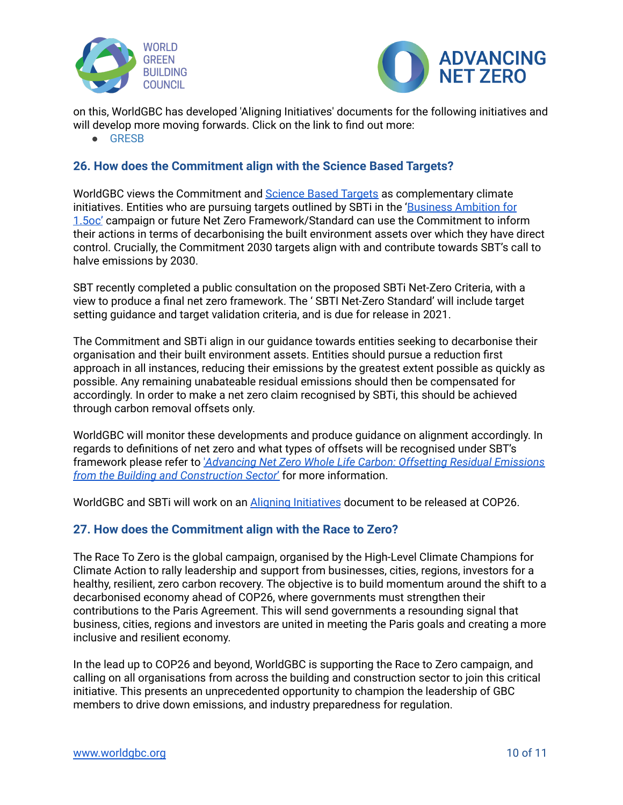



on this, WorldGBC has developed 'Aligning Initiatives' documents for the following initiatives and will develop more moving forwards. Click on the link to find out more:

● [GRESB](https://www.worldgbc.org/sites/default/files/WorldGBC%20Aligning%20Initiatives%20Document%20GRESB%20FINAL.pdf)

## <span id="page-9-0"></span>**26. How does the Commitment align with the Science Based Targets?**

WorldGBC views the Commitment and **[Science](https://sciencebasedtargets.org/) Based Targets** as complementary climate initiatives. Entities who are pursuing targets outlined by SBTi in the ['Business](https://sciencebasedtargets.org/business-ambition-for-1-5c) Ambition for [1.5oc'](https://sciencebasedtargets.org/business-ambition-for-1-5c) campaign or future Net Zero Framework/Standard can use the Commitment to inform their actions in terms of decarbonising the built environment assets over which they have direct control. Crucially, the Commitment 2030 targets align with and contribute towards SBT's call to halve emissions by 2030.

SBT recently completed a public consultation on the proposed SBTi Net-Zero Criteria, with a view to produce a final net zero framework. The ' SBTI Net-Zero Standard' will include target setting guidance and target validation criteria, and is due for release in 2021.

The Commitment and SBTi align in our guidance towards entities seeking to decarbonise their organisation and their built environment assets. Entities should pursue a reduction first approach in all instances, reducing their emissions by the greatest extent possible as quickly as possible. Any remaining unabateable residual emissions should then be compensated for accordingly. In order to make a net zero claim recognised by SBTi, this should be achieved through carbon removal offsets only.

WorldGBC will monitor these developments and produce guidance on alignment accordingly. In regards to definitions of net zero and what types of offsets will be recognised under SBT's framework please refer to '*[Advancing](https://www.worldgbc.org/advancing-net-zero-whole-life-carbon) Net Zero Whole Life Carbon: Offsetting Residual Emissions from the Building and [Construction](https://www.worldgbc.org/advancing-net-zero-whole-life-carbon) Sector*' for more information.

WorldGBC and SBTi will work on an **Aligning [Initiatives](https://www.worldgbc.org/resources-further-guidance)** document to be released at COP26.

## <span id="page-9-1"></span>**27. How does the Commitment align with the Race to Zero?**

The Race To Zero is the global campaign, organised by the High-Level Climate Champions for Climate Action to rally leadership and support from businesses, cities, regions, investors for a healthy, resilient, zero carbon recovery. The objective is to build momentum around the shift to a decarbonised economy ahead of COP26, where governments must strengthen their contributions to the Paris Agreement. This will send governments a resounding signal that business, cities, regions and investors are united in meeting the Paris goals and creating a more inclusive and resilient economy.

In the lead up to COP26 and beyond, WorldGBC is supporting the Race to Zero campaign, and calling on all organisations from across the building and construction sector to join this critical initiative. This presents an unprecedented opportunity to champion the leadership of GBC members to drive down emissions, and industry preparedness for regulation.